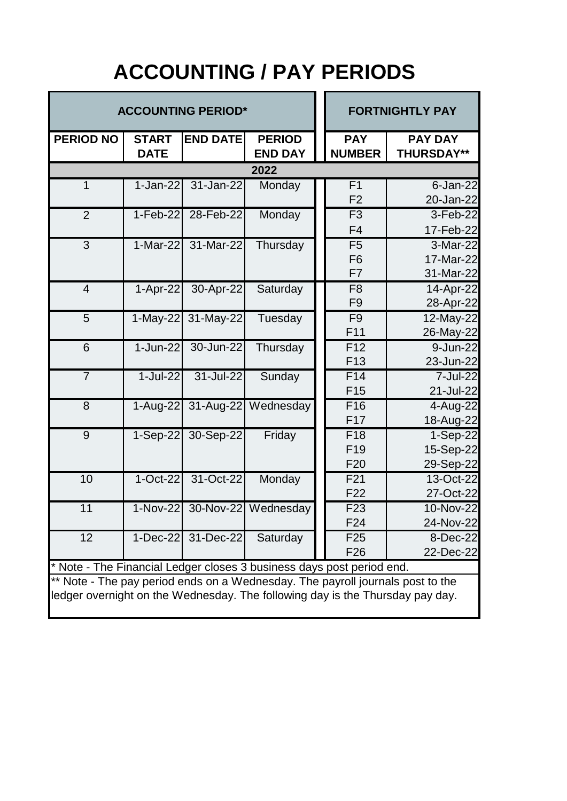## **ACCOUNTING / PAY PERIODS**

| <b>ACCOUNTING PERIOD*</b>                                                      |              |                    |                              |  | <b>FORTNIGHTLY PAY</b> |                         |  |  |  |
|--------------------------------------------------------------------------------|--------------|--------------------|------------------------------|--|------------------------|-------------------------|--|--|--|
| <b>PERIOD NO</b>                                                               | <b>START</b> | <b>END DATE</b>    | <b>PERIOD</b>                |  | <b>PAY</b>             | <b>PAY DAY</b>          |  |  |  |
|                                                                                | <b>DATE</b>  |                    | <b>END DAY</b>               |  | <b>NUMBER</b>          | <b>THURSDAY**</b>       |  |  |  |
| 2022                                                                           |              |                    |                              |  |                        |                         |  |  |  |
| $\mathbf{1}$                                                                   | $1-Jan-22$   | 31-Jan-22          | Monday                       |  | F <sub>1</sub>         | $6$ -Jan-22             |  |  |  |
|                                                                                |              |                    |                              |  | F <sub>2</sub>         | 20-Jan-22               |  |  |  |
| $\overline{2}$                                                                 | $1-Feb-22$   | 28-Feb-22          | Monday                       |  | F <sub>3</sub>         | 3-Feb-22                |  |  |  |
|                                                                                |              |                    |                              |  | F <sub>4</sub>         | 17-Feb-22               |  |  |  |
| 3                                                                              | $1-Mar-22$   | 31-Mar-22          | Thursday                     |  | F <sub>5</sub>         | 3-Mar-22                |  |  |  |
|                                                                                |              |                    |                              |  | F <sub>6</sub>         | 17-Mar-22               |  |  |  |
|                                                                                |              |                    |                              |  | F7                     | 31-Mar-22               |  |  |  |
| $\overline{4}$                                                                 | $1-Apr-22$   | 30-Apr-22          | Saturday                     |  | F <sub>8</sub>         | $\overline{1}$ 4-Apr-22 |  |  |  |
|                                                                                |              |                    |                              |  | F <sub>9</sub>         | 28-Apr-22               |  |  |  |
| 5                                                                              | $1-May-22$   | 31-May-22          | Tuesday                      |  | F <sub>9</sub>         | 12-May-22               |  |  |  |
|                                                                                |              |                    |                              |  | F11                    | 26-May-22               |  |  |  |
| 6                                                                              | 1-Jun-22     | 30-Jun-22          | Thursday                     |  | F <sub>12</sub>        | 9-Jun-22                |  |  |  |
|                                                                                |              |                    |                              |  | F <sub>13</sub>        | 23-Jun-22               |  |  |  |
| $\overline{7}$                                                                 | $1-Jul-22$   | 31-Jul-22          | Sunday                       |  | F14                    | 7-Jul-22                |  |  |  |
|                                                                                |              |                    |                              |  | F <sub>15</sub>        | 21-Jul-22               |  |  |  |
| 8                                                                              |              |                    | 1-Aug-22 31-Aug-22 Wednesday |  | F16                    | 4-Aug-22                |  |  |  |
|                                                                                |              |                    |                              |  | F17                    | 18-Aug-22               |  |  |  |
| 9                                                                              | $1-Sep-22$   | 30-Sep-22          | Friday                       |  | F <sub>18</sub>        | 1-Sep-22                |  |  |  |
|                                                                                |              |                    |                              |  | F <sub>19</sub>        | 15-Sep-22               |  |  |  |
|                                                                                |              |                    |                              |  | F <sub>20</sub>        | 29-Sep-22               |  |  |  |
| 10                                                                             | $1-Oct-22$   | 31-Oct-22          | Monday                       |  | F21                    | 13-Oct-22               |  |  |  |
|                                                                                |              |                    |                              |  | F <sub>22</sub>        | 27-Oct-22               |  |  |  |
| 11                                                                             | 1-Nov-22     |                    | 30-Nov-22 Wednesday          |  | F <sub>23</sub>        | 10-Nov-22               |  |  |  |
|                                                                                |              |                    |                              |  | F24                    | 24-Nov-22               |  |  |  |
| 12                                                                             |              | 1-Dec-22 31-Dec-22 | Saturday                     |  | F <sub>25</sub>        | 8-Dec-22                |  |  |  |
|                                                                                |              |                    |                              |  | F <sub>26</sub>        | 22-Dec-22               |  |  |  |
| * Note - The Financial Ledger closes 3 business days post period end.          |              |                    |                              |  |                        |                         |  |  |  |
| ** Note - The pay period ends on a Wednesday. The payroll journals post to the |              |                    |                              |  |                        |                         |  |  |  |
| ledger overnight on the Wednesday. The following day is the Thursday pay day.  |              |                    |                              |  |                        |                         |  |  |  |